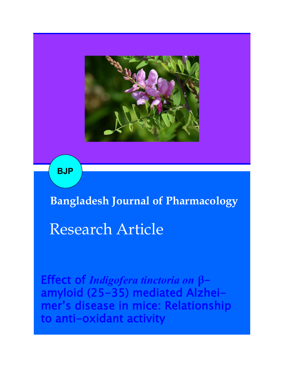

**BJP**

## **Bangladesh Journal of Pharmacology**

# Research Article

Effect of *Indigofera tinctoria on* **β**amyloid (25-35) mediated Alzheimer's disease in mice: Relationship to anti-oxidant activity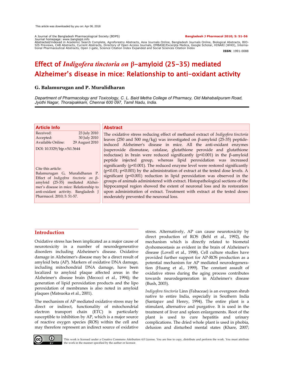A Journal of the Bangladesh Pharmacological Society (BDPS) **Bangladesh J Pharmacol 2010; 5: 51-56**

Journal homepage: www.banglajol.info Abstracted/indexed in Academic Search Complete, Agroforestry Abstracts, Asia Journals Online, Bangladesh Journals Online, Biological Abstracts, BIO-SIS Previews, CAB Abstracts, Current Abstracts, Directory of Open Access Journals, EMBASE/Excerpta Medica, Google Scholar, HINARI (WHO), Interna-<br>tional Pharmaceutical Abstracts, Open J-gate, Science Citation Index Expande

**ISSN**: 1991-0088

### Effect of *Indigofera tinctoria on* **β**-amyloid (25-35) mediated Alzheimer's disease in mice: Relationship to anti-oxidant activity

#### **G. Balamurugan and P. Muralidharan**

*Department of Pharmacology and Toxicology, C. L. Baid Metha College of Pharmacy, Old Mahabalipuram Road, Jyothi Nagar, Thoraipakkam, Chennai 600 097, Tamil Nadu, India.*

| <b>Article Info</b><br>Received:<br>23 July 2010<br>30 July 2010<br>Accepted:<br><b>Available Online:</b>                                                                                      | <b>Abstract</b><br>The oxidative stress reducing effect of methanol extract of <i>Indigofera tinctoria</i><br>leaves (250 and 500 mg/kg) was investigated on $\beta$ -amyloid (25-35) peptide-                                                                                                                                                                                                                                                                                   |
|------------------------------------------------------------------------------------------------------------------------------------------------------------------------------------------------|----------------------------------------------------------------------------------------------------------------------------------------------------------------------------------------------------------------------------------------------------------------------------------------------------------------------------------------------------------------------------------------------------------------------------------------------------------------------------------|
| 29 August 2010<br>DOI: 10.3329/bjp.v5i1.5644<br>Cite this article:<br>Balamurugan G, Muralidharan P.                                                                                           | induced Alzheimer's disease in mice. All the anti-oxidant enzymes<br>(superoxide dismutase, catalase, glutathione peroxide and glutathione<br>reductase) in brain were reduced significantly ( $p<0.001$ ) in the $\beta$ -amyloid<br>peptide injected group, whereas lipid peroxidation was increased<br>significantly ( $p$ <0.001). The reduced enzyme level were restored significantly<br>$(p<0.01; p<0.001)$ by the administration of extract at the tested dose levels. A |
| Effect of Indigofera tinctoria on $\beta$ -<br>amyloid (25-35) mediated Alzhei-<br>mer's disease in mice: Relationship to<br>anti-oxidant activity. Bangladesh J<br>Pharmacol. 2010; 5: 51-57. | significant ( $p$ <0.001) reduction in lipid peroxidation was observed in the<br>groups of animals administered with extract. Histopathological sections of the<br>hippocampal region showed the extent of neuronal loss and its restoration<br>upon administration of extract. Treatment with extract at the tested doses<br>moderately prevented the neuronal loss.                                                                                                            |

#### **Introduction**

Oxidative stress has been implicated as a major cause of neurotoxicity in a number of neurodegenerative disorders including Alzheimer's disease. Oxidative damage in Alzheimer's disease may be a direct result of amyloid beta (AP). Markers of oxidative DNA damage, including mitochondrial DNA damage, have been localized to amyloid plaque affected areas in the Alzheimer's disease brain (Mecocci et al., 1994); the generation of lipid peroxidation products and the lipo peroxidation of membranes is also noted in amyloid plaques (Matsuoka et al., 2001).

The mechanism of AP mediated oxidative stress may be direct or indirect, functionality of mitochondrial electron transport chain (ETC) is particularly susceptible to inhibition by AP, which is a major source of reactive oxygen species (ROS) within the cell and may therefore represent an indirect source of oxidative stress. Alternatively, AP can cause neurotoxicity by direct production of ROS (Behl et al., 1992), the mechanism which is directly related to biometal dyshomeostasis as evident in the brain of Alzheimer's disease (Lovell et al., 1998). Cell culture studies have provided further support for AP-ROS production as a potential mechanism for AP mediated neurodegeneration (Huang et al., 1999). The constant assault of oxidative stress during the aging process contributes towards neurodegeneration in Alzheimer's disease (Bush, 2003).

*Indigofera tinctoria* Linn (Fabaceae) is an evergreen shrub native to entire India, especially in Southern India (Santapav and Henry, 1994). The entire plant is a stimulant, alternative and purgative. It is used in the treatment of liver and spleen enlargements. Root of the plant is used to cure hepatitis and urinary complications. The dried whole plant is used in phobia, delusion and disturbed mental states (Khare, 2007;



This work is licensed under a Creative Commons Attribution 4.0 License. You are free to copy, distribute and perform the work. You must attribute the work in the manner specified by the author or licensor.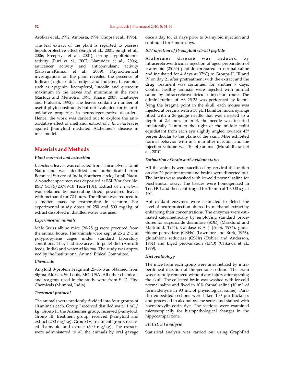Asolkar et al., 1992; Ambasta, 1994; Chopra et al., 1996).

The leaf extract of the plant is reported to possess hepatoprotective effect (Singh et al., 2001; Singh et al., 2006; Sreepriya et al., 2001), strong hypolipidemic activity (Puri et al., 2007; Narender et al., 2006), anticancer activity and anticonvulsant activity (SaravanaKumar et al., 2009). Phytochemical investigations on the plant revealed the presence of Indican (a glucoside), Indigo, and Indicine, flavanoids such as apigenin, kaempferol, luteolin and quercetin maximum in the leaves and minimum in the roots (Rastogi and Mehrotra, 1995; Khare, 2007; Chatterjee and Prakashi, 1992). The leaves contain a number of useful phytoconstituents but not evaluated for its antioxidative properties in neurodegenerative disorders. Hence, the work was carried out to explore the antioxidative effect of methanol extract of *I. tinctoria* leaves against β-amyloid mediated Alzheimer's disease in mice model.

#### **Materials and Methods**

#### *Plant material and extraction*

*I. tinctoria* leaves was collected from Thirunelveli, Tamil Nadu and was identified and authenticated from Botanical Survey of India, Southern circle, Tamil Nadu. A voucher specimen was deposited at BSI (Voucher No: BSI/ SC/5/23/09-10 Tech-1101). Extract of *I. tinctoria* was obtained by macerating dried, powdered leaves with methanol for 72 hours. The filtrate was reduced to a molten mass by evaporating in vacuum. For experimental study doses of 250 and 500 mg/kg of extract dissolved in distilled water was used.

#### *Experimental animals*

Male Swiss albino mice (20-25 g) were procured from the animal house. The animals were kept at  $25 \pm 2$ °C in polypropylene cages under standard laboratory conditions. They had free access to pellet diet (Amruth feeds, India) and water *ad libitum.* The study was approved by the Institutional Animal Ethical Committee.

#### *Chemicals*

Amyloid 3-protein Fragment 25-35 was obtained from Sigma-Aldrich, St. Louis, MO, USA. All other chemicals and reagents used in the study were from S. D. Fine Chemicals (Mumbai, India).

#### *Treatment protocol*

The animals were randomly divided into four groups of 10 animals each. Group I received distilled water 1 mL/ kg; Group II, the Alzheimer group, received β-amyloid; Group III, treatment group, received β-amyloid and extract (250 mg/kg); Group IV, treatment group, received β-amyloid and extract (500 mg/kg). The extracts were administered to all the animals by oral gavage

once a day for 21 days prior to β-amyloid injection and continued for 7 more days.

#### *ICV injection of ft-amyloid (25-35) peptide*

Alzheimer disease was induced by intracerebroventricular injection of aged preparation of β-amyloid (25-35) peptide (prepared in normal saline and incubated for 4 days at 37°C) to Groups II, III and IV on day 21 after pretreatment with the extract and the drug treatment was continued for another 7 days. Control healthy animals were injected with normal saline by intracerebroventricular injection route. The administration of A3 25-35 was performed by identifying the bregma point in the skull, each mouse was injected at bregma with a 50 pL Hamilton micro syringe fitted with a 26-gauge needle that was inserted to a depth of 2.4 mm. In brief, the needle was inserted unilaterally 1 mm to the right of the middle point equidistant from each eye slightly angled towards 45° perpendicular to the plane of the skull. Mice exhibited normal behavior with in 1 min after injection and the injection volume was 10 pL/animal (Muralidharan et al., 2010).

#### *Estimation of brain anti-oxidant status*

All the animals were sacrificed by cervical dislocation on day 29 post treatment and brains were dissected out. The brains were washed with ice-cold normal saline for biochemical assay. The tissues were homogenized in Tris HCl and then centrifuged for 10 min at 10,000 x g at  $4^{\circ}$ C.

Anti-oxidant enzymes were estimated to detect the level of neuroprotection offered by methanol extract by enhancing their concentrations. The enzymes were estimated calorimetrically by employing standard procedures for superoxide dismutase (SOD) (Marklund and Marklund, 1974), Catalase (CAT) (Aebi, 1974), glutathione peroxidase (GSHx) (Lawrence and Burk, 1976), glutathione reductase (GSHr) (Dobler and Anderson, 1981) and Lipid peroxidation (LPO) (Ohkawa et al., 1979).

#### *Histopathology*

The mice from each group were anesthetized by intraperitoneal injection of thiopentone sodium. The brain was carefully removed without any injury after opening the skull. The collected brain was washed with ice cold normal saline and fixed in 10% formal saline (10 mL of formaldehyde in 90 mL of physiological saline). Paraffin embedded sections were taken 100 pm thickness and processed in alcohol-xylene series and stained with haematoxylin-eosin dye. The sections were examined microscopically for histopathological changes in the hippocampal zone.

#### *Statistical analysis*

Statistical analysis was carried out using GraphPad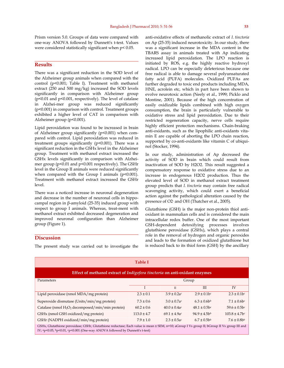Prism version 5.0. Groups of data were compared with one-way ANOVA followed by Dunnett's t-test. Values were considered statistically significant when p< 0.05.

#### **Results**

There was a significant reduction in the SOD level of the Alzheimer group animals when compared with the control (p<0.001; Table I). Treatment with methanol extract (250 and 500 mg/kg) increased the SOD levels significantly in comparison with Alzheimer group (p<0.01 and p<0.001, respectively). The level of catalase in Alzhei-mer group was reduced significantly (p<0.001) in comparison with control. Treatment groups exhibited a higher level of CAT in comparison with Alzheimer group (p<0.001).

Lipid peroxidation was found to be increased in brain of Alzheimer group significantly (p<0.001) when compared with control. Lipid peroxidation was reduced in treatment groups significantly (p<0.001). There was a significant reduction in the GSHx level in the Alzheimer group. Treatment with methanol extract increased the GSHx levels significantly in comparison with Alzheimer group (p<0.01 and p<0.001 respectively). The GSHr level in the Group II animals were reduced significantly when compared with the Group I animals  $(p<0.001)$ . Treatment with methanol extract increased the GSHr level.

There was a noticed increase in neuronal degeneration and decrease in the number of neuronal cells in hippocampal region in β-amyloid (25-35) induced group with respect to group I animals. Whereas, treat-ment with methanol extract exhibited decreased degeneration and improved neuronal configuration than Alzheimer group (Figure 1).

#### **Discussion**

The present study was carried out to investigate the

anti-oxidative effects of methanolic extract of *I. tinctoria*  on Ap (25-35) induced neurotoxicity. In our study, there was a significant increase in the MDA content in the TBARS assay in animals treated with Ap indicating increased lipid peroxidation. The LPO reaction is initiated by ROS, e.g. the highly reactive hydroxyl radical. LPO can be especially deleterious because one free radical is able to damage several polyunsaturated fatty acid (PUFA) molecules. Oxidized PUFAs are further degraded to toxic end products including MDA, HNE, acrolein etc, which in part have been shown to evolve neurotoxic action (Neely et al., 1999; Picklo and Montine, 2001). Because of the high concentration of easily oxidizable lipids combined with high oxygen consumption, the brain is particularly vulnerable to oxidative stress and lipid peroxidation. Due to their restricted regeneration capacity, nerve cells require highly efficient protection mechanisms. Chain-braking anti-oxidants, such as the lipophilic anti-oxidants vitamin E are capable of aborting the LPO chain reaction, supported by co-anti-oxidants like vitamin C of ubiquinol (Stocker, 1994).

In our study, administration of Ap decreased the activity of SOD in brain which could result from inactivation of SOD by H2O2. This result suggested a compensatory response to oxidative stress due to an increase in endogenous H2O2 production. Thus the elevated level of SOD in methanol extract treatment group predicts that *I. tinctoria* may contain free radical scavenging activity, which could exert a beneficial action against the pathological alteration caused by the presence of O2- and OH (Thatcher et al., 2005).

Glutathione (GSH) is the major non-protein thiol antioxidant in mammalian cells and is considered the main intracellular redox buffer. One of the most important GSH-dependent detoxifying processes involves glutathione peroxidase (GSHx), which plays a central role in the removal of hydrogen and organic peroxides and leads to the formation of oxidized glutathione but is reduced back to its thiol form (GSH) by the ancillary

| <b>Table I</b>                                                                                                                                                                                                                              |                 |                   |                               |                    |  |
|---------------------------------------------------------------------------------------------------------------------------------------------------------------------------------------------------------------------------------------------|-----------------|-------------------|-------------------------------|--------------------|--|
| Effect of methanol extract of <i>Indigofera tinctoria</i> on anti-oxidant enzymes                                                                                                                                                           |                 |                   |                               |                    |  |
| Parameters                                                                                                                                                                                                                                  | Group           |                   |                               |                    |  |
|                                                                                                                                                                                                                                             |                 | $\mathbf{H}$      | III                           | IV                 |  |
| Lipid peroxidase (nmol MDA/mg protein)                                                                                                                                                                                                      | $2.3 \pm 0.1$   | $3.9 \pm 0.2$ ac  | $2.9 \pm 0.1$ bc              | $2.3 \pm 0.1$ bc   |  |
| Superoxide dismutase (Units/min/mg protein)                                                                                                                                                                                                 | $7.3 \pm 0.6$   | $3.0 \pm 0.7a$ c  | $6.3 \pm 0.6$ b <sup>b</sup>  | $7.1 \pm 0.6$ bc   |  |
| Catalase (nmol H <sub>2</sub> O <sub>2</sub> decomposed/min/min protein)                                                                                                                                                                    | $60.2 \pm 0.6$  | $40.0 \pm 0.4$ ac | $48.1 \pm 0.5$ bc             | $59.6 \pm 0.5$ bc  |  |
| GSHx (nmol GSH oxidized/mg protein)                                                                                                                                                                                                         | $113.0 \pm 4.7$ | $69.1 \pm 4.9a$ c | $94.9 \pm 4.5$ b <sup>b</sup> | $103.8 \pm 4.7$ bc |  |
| GSHr (NADPH oxidized/min/mg protein)                                                                                                                                                                                                        | $7.9 \pm 1.0$   | $2.3 \pm 0.5$ ac  | $6.7 \pm 0.5$ bb              | $7.6 \pm 0.8$ bb   |  |
| GSHx, Glutathione peroxidase; GSHr, Glutathione reductase; Each value is mean ± SEM, n=10; aGroup I Vs group II; bGroup II Vs group III and<br>IV; $a_p < 0.05$ , $b_p < 0.01$ , $c_p < 0.001$ (One-way ANOVA followed by Dunnett's t-test) |                 |                   |                               |                    |  |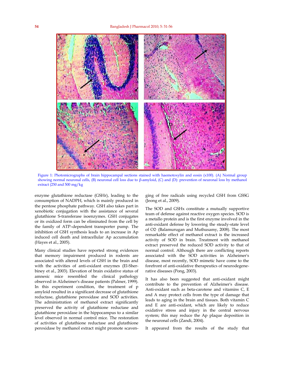

Figure 1: Photomicrographs of brain hippocampal sections stained with haemotoxylin and eosin (x100). (A) Normal group showing normal neuronal cells, (B) neuronal cell loss due to β-amyloid, (C) and (D): prevention of neuronal loss by methanol extract (250 and 500 mg/kg

enzyme glutathione reductase (GSHr), leading to the consumption of NADPH, which is mainly produced in the pentose phosphate pathway. GSH also takes part in xenobiotic conjugation with the assistance of several glutathione S-transferase isoenzymes. GSH conjugates or its oxidized form can be eliminated from the cell by the family of ATP–dependent transporter pump. The inhibition of GSH synthesis leads to an increase in Ap induced cell death and intracellular Ap accumulation (Hayes et al., 2005).

Many clinical studies have reported strong evidences that memory impairment produced in rodents are associated with altered levels of GSH in the brain and with the activities of anti-oxidant enzymes (El-Sherbiney et al., 2003). Elevation of brain oxidative status of amnesic mice resembled the clinical pathology observed in Alzheimer's disease patients (Palmer, 1999). In this experiment condition, the treatment of p amyloid resulted in a significant decrease of glutathione reductase, glutathione peroxidase and SOD activities. The administration of methanol extract significantly preserved the activity of glutathione reductase and glutathione peroxidase in the hippocampus to a similar level observed in normal control mice. The restoration of activities of glutathione reductase and glutathione peroxidase by methanol extract might promote scaven-

ging of free radicals using recycled GSH from GSSG (Jeong et al., 2009).

The SOD and GSHx constitute a mutually supportive team of defense against reactive oxygen species. SOD is a metallo protein and is the first enzyme involved in the anti-oxidant defense by lowering the steady-state level of O2- (Balamurugan and Muthusamy, 2008). The most remarkable effect of methanol extract is the increased activity of SOD in brain. Treatment with methanol extract preserved the reduced SOD activity to that of normal control. Although there are conflicting reports associated with the SOD activities in Alzheimer's disease, most recently, SOD mimetic have come to the forefront of anti-oxidative therapeutics of neurodegenerative diseases (Pong, 2003).

It has also been suggested that anti-oxidant might contribute to the prevention of Alzheimer's disease. Anti-oxidant such as beta-carotene and vitamins C, E and A may protect cells from the type of damage that leads to aging in the brain and tissues. Both vitamin C and E are anti-oxidant, which are likely to reduce oxidative stress and injury in the central nervous system; this may reduce the Ap plaque deposition in the neuronal cells (Zandi, 2004).

It appeared from the results of the study that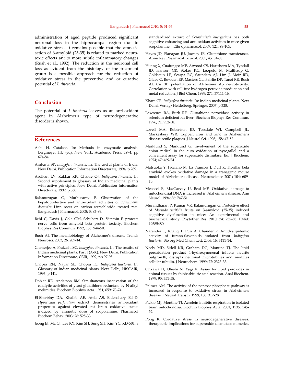administration of aged peptide produced significant neuronal loss in the hippocampal region due to oxidative stress. It remains possible that the amnesic action of β-amyloid (25-35) is related to marked neurotoxic effects ant to more subtle inflammatory changes (Rush et al., 1992). The reduction in the neuronal cell loss as evident from the histology of the treatment group is a possible approach for the reduction of oxidative stress in the preventive and or curative potential of *I. tinctoria.*

#### **Conclusion**

The potential of *I. tinctoria* leaves as an anti-oxidant agent in Alzheimer's type of neurodegenerative disorder is shown.

#### **References**

- Aebi H. Catalase. In: Methods in enzymatic analysis. Bergmeyer HU (ed). New York, Academic Press, 1974, pp 674-84.
- Ambasta SP. *Indigofera tinctoria.* In: The useful plants of India. New Delhi, Publication Information Directorate, 1994, p 289.
- Asolkar, LV, Kakkar KK, Chakre OJ. *Indigofera tinctoria.* In: Second supplement to glossary of Indian medicinal plants with active principles. New Delhi, Publication Information Directorate, 1992, p 368.
- Balamurugan G, Muthusamy P. Observation of the hepatoprotective and anti-oxidant activities of *Trianthema decandra* Linn roots on carbon tetrachloride treated rats. Bangladesh J Pharmacol. 2008; 3: 83-89.
- Behl C, Davis J, Cole GM, Schubert D. Vitamin E protects nerve cells from amyloid beta protein toxicity. Biochem Biophys Res Commun. 1992; 186: 944-50.
- Bush AI. The metallobiology of Alzheimer's disease. Trends Neurosci. 2003; 26: 207-14.
- Chatterjee A, Prakashi SC. *Indigofera tinctoria*. In: The treatise of Indian medicinal plants. Part I (A-K). New Delhi, Publication Information Directorate, CSIR, 1992, pp 97-98.
- Chopra RN, Nayar SL, Chopra IC. *Indigofera tinctoria*. In: Glossary of Indian medicinal plants. New Delhi, NISCAIR, 1996, p 141.
- Dobler RE, Anderson BM. Simultaneous inactivation of the catalytic activities of yeast glutathione reductase by N-alkyl melimides. Biochem Biophys Acta. 1981; 659: 70-74.
- El-Sherbiny DA, Khalifa AE, Attia AS, Eldenshary Eel-D. *Hypericum perforatum* extract demonstrates anti-oxidant properties against elevated rat brain oxidative status induced by amnestic dose of scopolamine. Pharmacol Biochem Behav. 2003; 76: 525-33.
- Jeong EJ, Ma CJ, Lee KY, Kim SH, Sung SH, Kim YC. KD-501, a

standardized extract of *Scrophularia buergeriana* has both cognitive enhancing and anti-oxidant activities in mice given scopolamine. J Ethnopharmacol. 2009; 121: 98-105.

- Hayes JD, Flanagan JU, Jowsey IR. Glutathione transferases. Annu Rev Pharmacol Toxicol. 2005; 45: 51-88.
- Huang X, Cuaiungco MP, Atwood CS, Hartshorn MA, Tyndall JD, Hanson GR, Stokes KC, Leopold M, Multhaup G, Goldstein LE, Scarpa RC, Saunders AJ, Lim J, Moir RD, Glabe C, Bowden EF, Masters CL, Fairlie DP, Tanzi RE, Bush AI. Cu (II) potentiation of Alzheimer Ap neurotoxicity. Correlation with cell-free hydrogen peroxide production and metal reduction. J Biol Chem. 1999; 274: 37111-16.
- Khare CP. *Indigofera tinctoria*. In: Indian medicinal plants. New Delhi, Verlag/Heidelberg, Springer, 2007, p 328.
- Lawrence RA, Burk RF. Glutathione peroxidase activity in selenium deficient rat liver. Biochem Biophys Res Commun. 1976; 71: 952-58.
- Lovell MA, Robertson JD, Teesdale WJ, Campbell JL, Markesbery WR. Copper, iron and zinc in Alzheimer's disease senile plaques. J Neurol Sci. 1998; 158: 47-52.
- Marklund S, Marklund G. Involvement of the superoxide anion radical in the auto oxidation of pyrogallol and a convenient assay for superoxide dismutase. Eur J Biochem. 1974; 47: 469-74.
- Matsuoka Y, Picciano M, La Francois J, Duff K. Fibrillar beta amyloid evokes oxidative damage in a transgenic mouse model of Alzheimer's disease. Neuroscience 2001; 104: 609- 13.
- Mecocci P, MacGarvey U, Beal MF. Oxidative damage to mitochondrial DNA is increased in Alzheimer's disease. Ann Neurol. 1994; 36: 747-51.
- Muralidharan P, Kumar VR, Balamurugan G. Protective effect of *Morinda citrifolia* fruits on β-amyloid (25-35) induced cognitive dysfunction in mice: An experimental and biochemical study. Phytother Res. 2010; 24: 252-58. PMid: 19585480
- Narender T, Khaliq T, Puri A, Chander R. Antidyslipidemic activity of furano-flavonoids isolated from *Indigofera tinctoria*. Bio org Med Chem Lett. 2006; 16: 3411-14.
- Neely MD, Sidell KR, Graham DG, Montine TJ. The lipid peroxidation product 4-hydroxynonenal inhibits neurite outgrowth, disrupts neuronal microtubules and modifies cellular tubulin. J Neurochem. 1999; 72: 2323-33.
- Ohkawa H, Ohishi N, Yagi K. Assay for lipid peroxides in animal tissues by thiobarbituric acid reaction. Anal Biochem. 1979; 95: 351-58.
- Palmer AM. The activity of the pentose phosphate pathway is increased in response to oxidative stress in Alzheimer's disease. J Neural Transm. 1999; 106: 317-28.
- Picklo MJ, Montine TJ. Acrolein inhibits respiration in isolated brain mitochondria. Biochim Biophys Acta. 2001; 1535: 145- 52.
- Pong K. Oxidative stress in neurodegenerative diseases: therapeutic implications for superoxide dismutase mimetics.